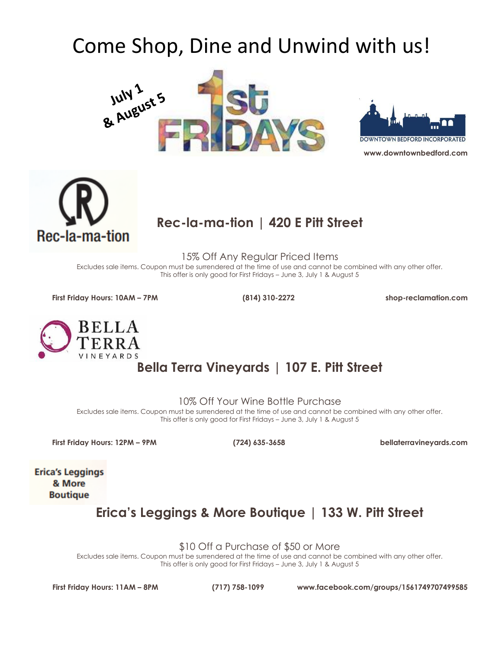# Come Shop, Dine and Unwind with us!







#### **Rec-la-ma-tion | 420 E Pitt Street**

15% Off Any Regular Priced Items

Excludes sale items. Coupon must be surrendered at the time of use and cannot be combined with any other offer. This offer is only good for First Fridays – June 3, July 1 & August 5

**First Friday Hours: 10AM – 7PM (814) 310-2272 shop-reclamation.com**



# **Bella Terra Vineyards | 107 E. Pitt Street**

10% Off Your Wine Bottle Purchase

Excludes sale items. Coupon must be surrendered at the time of use and cannot be combined with any other offer. This offer is only good for First Fridays – June 3, July 1 & August 5

**First Friday Hours: 12PM – 9PM (724) 635-3658 bellaterravineyards.com**

**Erica's Leggings** & More **Boutique** 

**Erica's Leggings & More Boutique | 133 W. Pitt Street**

\$10 Off a Purchase of \$50 or More

Excludes sale items. Coupon must be surrendered at the time of use and cannot be combined with any other offer. This offer is only good for First Fridays – June 3, July 1 & August 5

**First Friday Hours: 11AM – 8PM (717) 758-1099 www.facebook.com/groups/1561749707499585**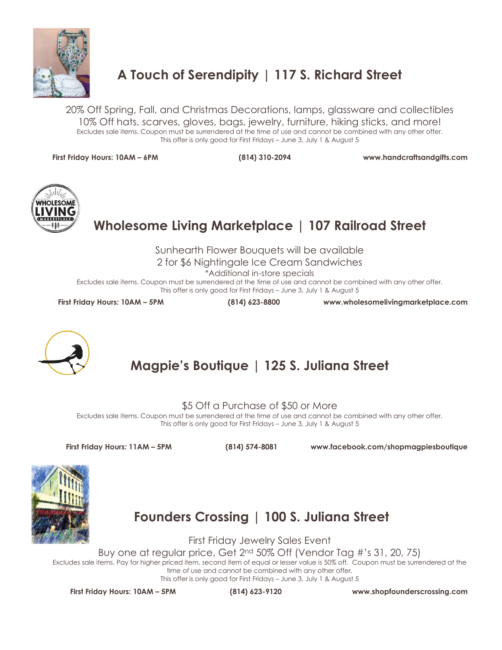

## **A Touch of Serendipity | 117 S. Richard Street**

20% Off Spring, Fall, and Christmas Decorations, lamps, glassware and collectibles 10% Off hats, scarves, gloves, bags, jewelry, furniture, hiking sticks, and more! Excludes sale items. Coupon must be surrendered at the time of use and cannot be combined with any other offer. This offer is only good for First Fridays – June 3, July 1 & August 5

**First Friday Hours: 10AM – 6PM (814) 310-2094 www.handcraftsandgifts.com**



# **Wholesome Living Marketplace | 107 Railroad Street**

Sunhearth Flower Bouquets will be available

2 for \$6 Nightingale Ice Cream Sandwiches

\*Additional in-store specials

Excludes sale items. Coupon must be surrendered at the time of use and cannot be combined with any other offer. This offer is only good for First Fridays – June 3, July 1 & August 5

**First Friday Hours: 10AM – 5PM (814) 623-8800 www.wholesomelivingmarketplace.com**



# **Magpie's Boutique | 125 S. Juliana Street**

\$5 Off a Purchase of \$50 or More

Excludes sale items. Coupon must be surrendered at the time of use and cannot be combined with any other offer. This offer is only good for First Fridays – June 3, July 1 & August 5

**First Friday Hours: 11AM – 5PM (814) 574-8081 www.facebook.com/shopmagpiesboutique**



**Founders Crossing | 100 S. Juliana Street**

First Friday Jewelry Sales Event

Buy one at regular price, Get 2nd 50% Off (Vendor Tag #'s 31, 20, 75)

Excludes sale items. Pay for higher priced item, second item of equal or lesser value is 50% off. Coupon must be surrendered at the time of use and cannot be combined with any other offer.

This offer is only good for First Fridays – June 3, July 1 & August 5

**First Friday Hours: 10AM – 5PM (814) 623-9120 www.shopfounderscrossing.com**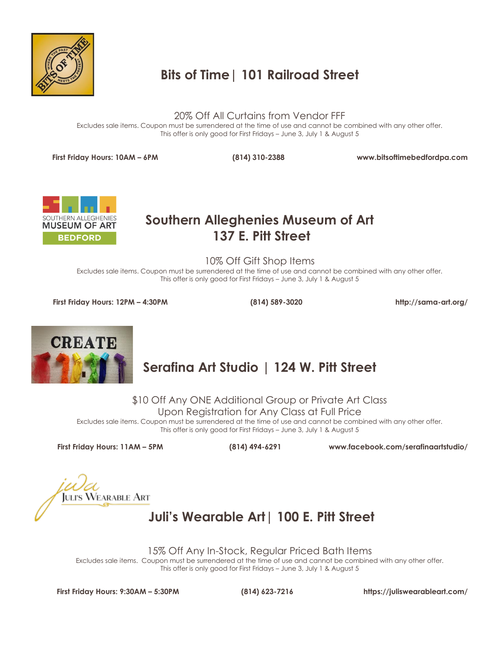

# **Bits of Time| 101 Railroad Street**

20% Off All Curtains from Vendor FFF

Excludes sale items. Coupon must be surrendered at the time of use and cannot be combined with any other offer. This offer is only good for First Fridays – June 3, July 1 & August 5

**First Friday Hours: 10AM – 6PM (814) 310-2388 www.bitsoftimebedfordpa.com**



#### **Southern Alleghenies Museum of Art 137 E. Pitt Street**

10% Off Gift Shop Items

Excludes sale items. Coupon must be surrendered at the time of use and cannot be combined with any other offer. This offer is only good for First Fridays – June 3, July 1 & August 5

**First Friday Hours: 12PM – 4:30PM (814) 589-3020 http://sama-art.org/**



# **Serafina Art Studio | 124 W. Pitt Street**

\$10 Off Any ONE Additional Group or Private Art Class

Upon Registration for Any Class at Full Price

Excludes sale items. Coupon must be surrendered at the time of use and cannot be combined with any other offer. This offer is only good for First Fridays – June 3, July 1 & August 5

**First Friday Hours: 11AM – 5PM (814) 494-6291 www.facebook.com/serafinaartstudio/**

**JULI'S WEARABLE ART** 

## **Juli's Wearable Art| 100 E. Pitt Street**

15% Off Any In-Stock, Regular Priced Bath Items

Excludes sale items. Coupon must be surrendered at the time of use and cannot be combined with any other offer. This offer is only good for First Fridays – June 3, July 1 & August 5

**First Friday Hours: 9:30AM – 5:30PM (814) 623-7216 https://juliswearableart.com/**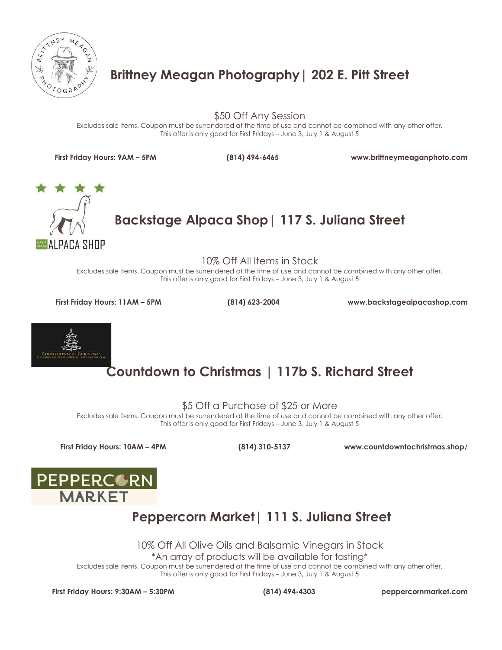

## **Brittney Meagan Photography| 202 E. Pitt Street**

\$50 Off Any Session

Excludes sale items. Coupon must be surrendered at the time of use and cannot be combined with any other offer. This offer is only good for First Fridays – June 3, July 1 & August 5

**First Friday Hours: 9AM – 5PM (814) 494-6465 www.brittneymeaganphoto.com**



**Backstage Alpaca Shop| 117 S. Juliana Street**

10% Off All Items in Stock

Excludes sale items. Coupon must be surrendered at the time of use and cannot be combined with any other offer. This offer is only good for First Fridays – June 3, July 1 & August 5

**First Friday Hours: 11AM – 5PM (814) 623-2004 www.backstagealpacashop.com**



## **Countdown to Christmas | 117b S. Richard Street**

\$5 Off a Purchase of \$25 or More

Excludes sale items. Coupon must be surrendered at the time of use and cannot be combined with any other offer. This offer is only good for First Fridays – June 3, July 1 & August 5

**First Friday Hours: 10AM – 4PM (814) 310-5137 www.countdowntochristmas.shop/**



#### **Peppercorn Market| 111 S. Juliana Street**

10% Off All Olive Oils and Balsamic Vinegars in Stock

\*An array of products will be available for tasting\*

Excludes sale items. Coupon must be surrendered at the time of use and cannot be combined with any other offer. This offer is only good for First Fridays – June 3, July 1 & August 5

**First Friday Hours: 9:30AM – 5:30PM (814) 494-4303 peppercornmarket.com**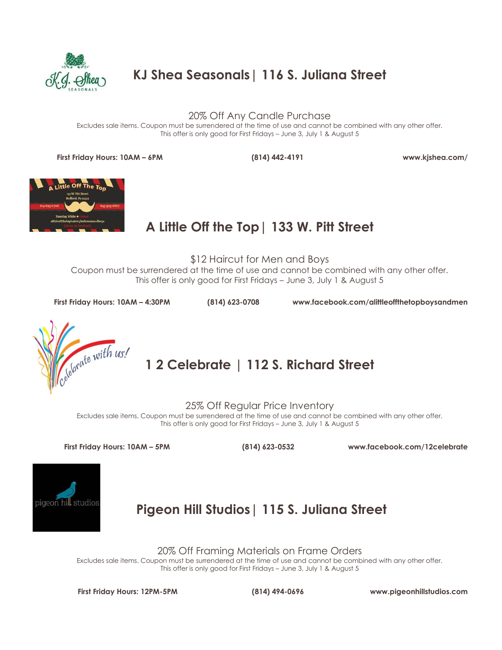

**KJ Shea Seasonals| 116 S. Juliana Street**

20% Off Any Candle Purchase

Excludes sale items. Coupon must be surrendered at the time of use and cannot be combined with any other offer. This offer is only good for First Fridays – June 3, July 1 & August 5

**First Friday Hours: 10AM – 6PM (814) 442-4191 www.kjshea.com/**



## **A Little Off the Top| 133 W. Pitt Street**

\$12 Haircut for Men and Boys Coupon must be surrendered at the time of use and cannot be combined with any other offer. This offer is only good for First Fridays – June 3, July 1 & August 5

**First Friday Hours: 10AM – 4:30PM (814) 623-0708 www.facebook.com/alittleoffthetopboysandmen**



**1 2 Celebrate | 112 S. Richard Street** 

25% Off Regular Price Inventory

Excludes sale items. Coupon must be surrendered at the time of use and cannot be combined with any other offer. This offer is only good for First Fridays – June 3, July 1 & August 5

**First Friday Hours: 10AM – 5PM (814) 623-0532 www.facebook.com/12celebrate**



**Pigeon Hill Studios| 115 S. Juliana Street**

20% Off Framing Materials on Frame Orders

Excludes sale items. Coupon must be surrendered at the time of use and cannot be combined with any other offer. This offer is only good for First Fridays – June 3, July 1 & August 5

**First Friday Hours: 12PM-5PM (814) 494-0696 www.pigeonhillstudios.com**